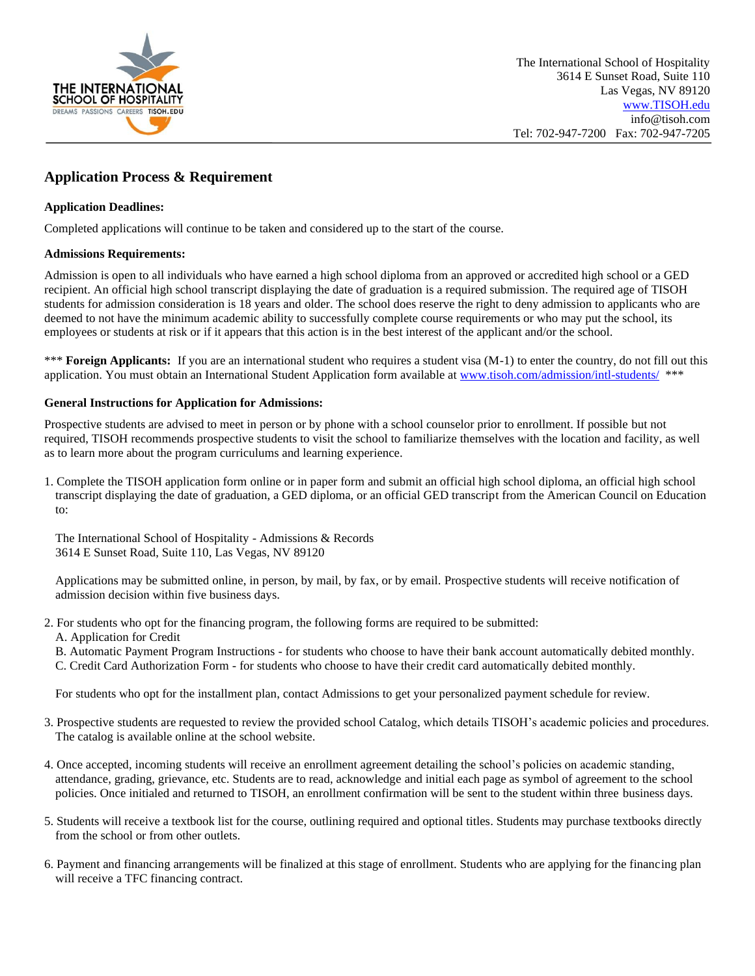

# **Application Process & Requirement**

### **Application Deadlines:**

Completed applications will continue to be taken and considered up to the start of the course.

#### **Admissions Requirements:**

Admission is open to all individuals who have earned a high school diploma from an approved or accredited high school or a GED recipient. An official high school transcript displaying the date of graduation is a required submission. The required age of TISOH students for admission consideration is 18 years and older. The school does reserve the right to deny admission to applicants who are deemed to not have the minimum academic ability to successfully complete course requirements or who may put the school, its employees or students at risk or if it appears that this action is in the best interest of the applicant and/or the school.

\*\*\* **Foreign Applicants:** If you are an international student who requires a student visa (M-1) to enter the country, do not fill out this application. You must obtain an International Student Application form available at [www.tisoh.com/admission/intl-students/](http://www.tisoh.com/admission/intl-students/) \*\*\*

#### **General Instructions for Application for Admissions:**

Prospective students are advised to meet in person or by phone with a school counselor prior to enrollment. If possible but not required, TISOH recommends prospective students to visit the school to familiarize themselves with the location and facility, as well as to learn more about the program curriculums and learning experience.

1. Complete the TISOH application form online or in paper form and submit an official high school diploma, an official high school transcript displaying the date of graduation, a GED diploma, or an official GED transcript from the American Council on Education to:

The International School of Hospitality - Admissions & Records 3614 E Sunset Road, Suite 110, Las Vegas, NV 89120

Applications may be submitted online, in person, by mail, by fax, or by email. Prospective students will receive notification of admission decision within five business days.

- 2. For students who opt for the financing program, the following forms are required to be submitted:
	- A. Application for Credit

B. Automatic Payment Program Instructions - for students who choose to have their bank account automatically debited monthly. C. Credit Card Authorization Form - for students who choose to have their credit card automatically debited monthly.

For students who opt for the installment plan, contact Admissions to get your personalized payment schedule for review.

- 3. Prospective students are requested to review the provided school Catalog, which details TISOH's academic policies and procedures. The catalog is available online at the school website.
- 4. Once accepted, incoming students will receive an enrollment agreement detailing the school's policies on academic standing, attendance, grading, grievance, etc. Students are to read, acknowledge and initial each page as symbol of agreement to the school policies. Once initialed and returned to TISOH, an enrollment confirmation will be sent to the student within three business days.
- 5. Students will receive a textbook list for the course, outlining required and optional titles. Students may purchase textbooks directly from the school or from other outlets.
- 6. Payment and financing arrangements will be finalized at this stage of enrollment. Students who are applying for the financing plan will receive a TFC financing contract.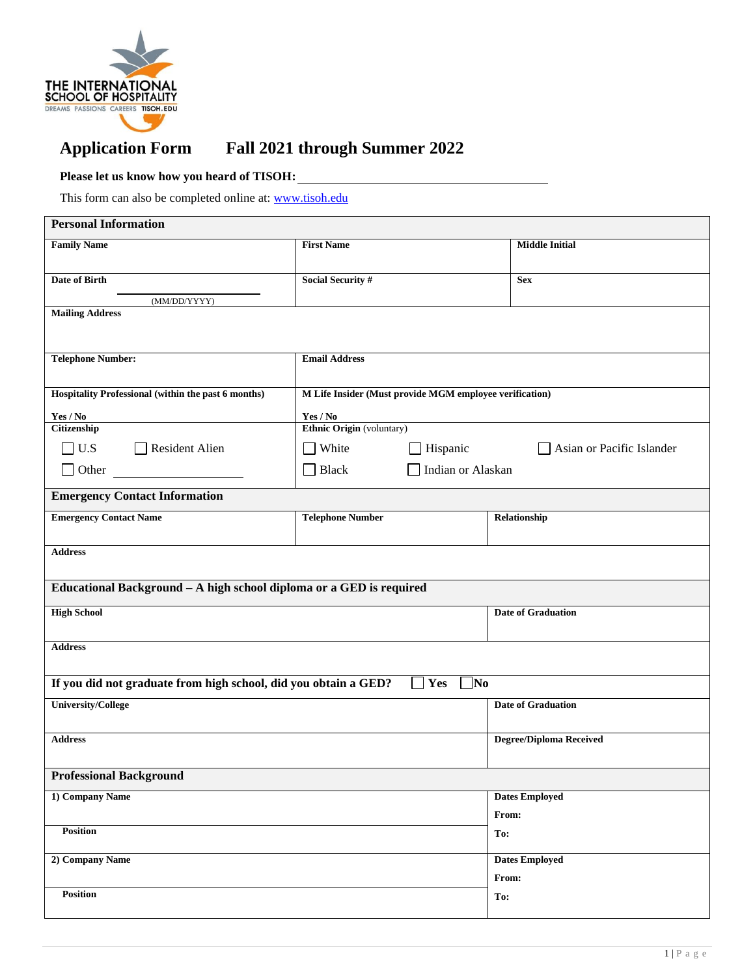

# **Application Form Fall 2021 through Summer 2022**

## **Please let us know how you heard of TISOH:**

This form can also be completed online at: [www.tisoh.edu](https://tisoh.formstack.com/forms/tisoh_application_form__copy__copy_copy)

| <b>Personal Information</b>                                         |                                                         |                                       |                                |  |  |  |
|---------------------------------------------------------------------|---------------------------------------------------------|---------------------------------------|--------------------------------|--|--|--|
| <b>Family Name</b>                                                  | <b>First Name</b>                                       |                                       | <b>Middle Initial</b>          |  |  |  |
| <b>Date of Birth</b>                                                | <b>Social Security #</b>                                |                                       | <b>Sex</b>                     |  |  |  |
| (MM/DD/YYYY)                                                        |                                                         |                                       |                                |  |  |  |
| <b>Mailing Address</b>                                              |                                                         |                                       |                                |  |  |  |
| <b>Telephone Number:</b>                                            | <b>Email Address</b>                                    |                                       |                                |  |  |  |
| Hospitality Professional (within the past 6 months)                 | M Life Insider (Must provide MGM employee verification) |                                       |                                |  |  |  |
| Yes / No                                                            | Yes / No                                                |                                       |                                |  |  |  |
| Citizenship                                                         | Ethnic Origin (voluntary)                               |                                       |                                |  |  |  |
| U.S<br>$\Box$ Resident Alien                                        | White                                                   | Hispanic<br>Asian or Pacific Islander |                                |  |  |  |
| Other                                                               | $\Box$ Black                                            | Indian or Alaskan                     |                                |  |  |  |
| <b>Emergency Contact Information</b>                                |                                                         |                                       |                                |  |  |  |
| <b>Emergency Contact Name</b>                                       | <b>Telephone Number</b>                                 |                                       | Relationship                   |  |  |  |
| <b>Address</b>                                                      |                                                         |                                       |                                |  |  |  |
| Educational Background - A high school diploma or a GED is required |                                                         |                                       |                                |  |  |  |
| <b>High School</b>                                                  |                                                         |                                       | <b>Date of Graduation</b>      |  |  |  |
| <b>Address</b>                                                      |                                                         |                                       |                                |  |  |  |
| If you did not graduate from high school, did you obtain a GED?     |                                                         | $\exists$ No<br>Yes                   |                                |  |  |  |
| <b>University/College</b>                                           |                                                         |                                       | <b>Date of Graduation</b>      |  |  |  |
| <b>Address</b>                                                      |                                                         |                                       | <b>Degree/Diploma Received</b> |  |  |  |
| <b>Professional Background</b>                                      |                                                         |                                       |                                |  |  |  |
| 1) Company Name                                                     |                                                         |                                       | <b>Dates Employed</b>          |  |  |  |
|                                                                     |                                                         |                                       | From:                          |  |  |  |
| Position                                                            |                                                         |                                       | To:                            |  |  |  |
| 2) Company Name                                                     |                                                         |                                       | <b>Dates Employed</b>          |  |  |  |
|                                                                     |                                                         |                                       | From:                          |  |  |  |
| <b>Position</b>                                                     |                                                         |                                       | To:                            |  |  |  |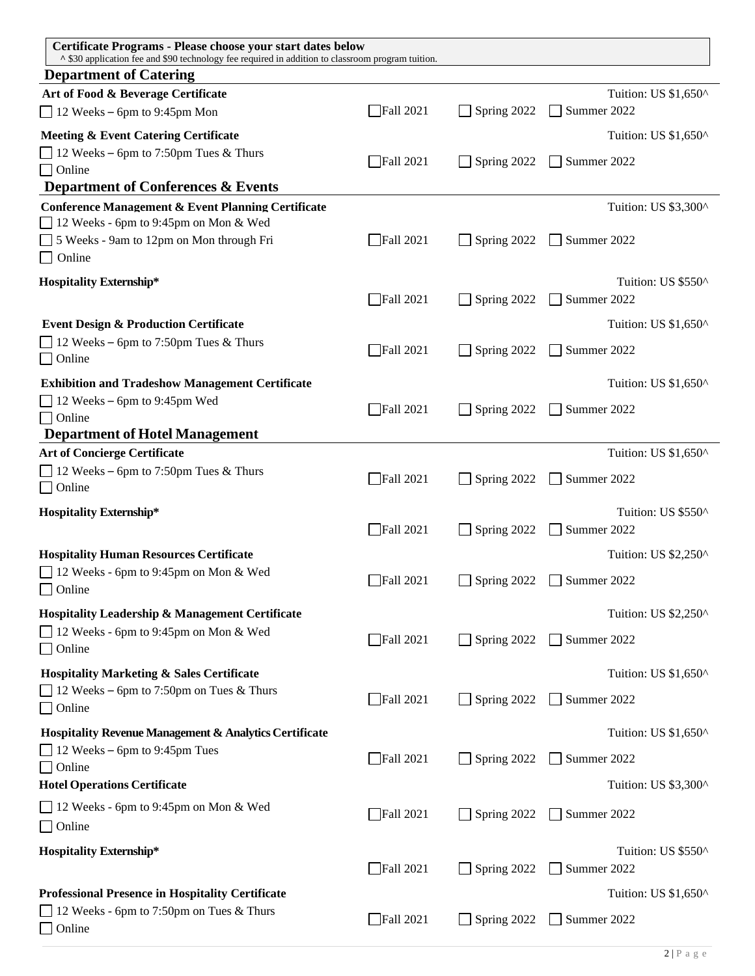| ^ \$30 application fee and \$90 technology fee required in addition to classroom program tuition.         |
|-----------------------------------------------------------------------------------------------------------|
| <b>Department of Catering</b>                                                                             |
| Tuition: US \$1,650^<br>Art of Food & Beverage Certificate                                                |
| Spring 2022 Summer 2022<br>$\Box$ Fall 2021<br>$\Box$ 12 Weeks – 6pm to 9:45pm Mon                        |
| Tuition: US \$1,650^<br>Meeting & Event Catering Certificate                                              |
| $\Box$ 12 Weeks – 6pm to 7:50pm Tues & Thurs<br>Spring 2022 Summer 2022<br>$\Box$ Fall 2021               |
| $\Box$ Online                                                                                             |
| <b>Department of Conferences &amp; Events</b><br>Tuition: US \$3,300^                                     |
| <b>Conference Management &amp; Event Planning Certificate</b><br>12 Weeks - 6pm to 9:45pm on Mon & Wed    |
| $\Box$ Fall 2021<br>$\Box$ Spring 2022 $\Box$ Summer 2022<br>5 Weeks - 9am to 12pm on Mon through Fri     |
| $\Box$ Online                                                                                             |
| <b>Hospitality Externship*</b><br>Tuition: US \$550^                                                      |
| $\Box$ Spring 2022 $\Box$ Summer 2022<br>$\Box$ Fall 2021                                                 |
| <b>Event Design &amp; Production Certificate</b><br>Tuition: US \$1,650^                                  |
| $\Box$ 12 Weeks – 6pm to 7:50pm Tues & Thurs<br>$\Box$ Fall 2021<br>$\Box$ Spring 2022 $\Box$ Summer 2022 |
| $\Box$ Online                                                                                             |
| Tuition: US \$1,650^<br><b>Exhibition and Tradeshow Management Certificate</b>                            |
| $\Box$ 12 Weeks – 6pm to 9:45pm Wed<br>$\Box$ Fall 2021<br>$\Box$ Spring 2022 $\Box$ Summer 2022          |
| $\Box$ Online<br><b>Department of Hotel Management</b>                                                    |
| <b>Art of Concierge Certificate</b><br>Tuition: US \$1,650^                                               |
| $\Box$ 12 Weeks – 6pm to 7:50pm Tues & Thurs<br>Spring 2022 Summer 2022<br>$\Box$ Fall 2021               |
| $\Box$ Online                                                                                             |
| Tuition: US \$550^<br><b>Hospitality Externship*</b>                                                      |
| $\Box$ Spring 2022 $\Box$ Summer 2022<br>$\Box$ Fall 2021                                                 |
| <b>Hospitality Human Resources Certificate</b><br>Tuition: US \$2,250^                                    |
| $\Box$ 12 Weeks - 6pm to 9:45pm on Mon & Wed<br>$\Box$ Fall 2021<br>$\Box$ Spring 2022 $\Box$ Summer 2022 |
| $\Box$ Online                                                                                             |
| <b>Hospitality Leadership &amp; Management Certificate</b><br>Tuition: US \$2,250^                        |
| 12 Weeks - 6pm to 9:45pm on Mon & Wed<br>Spring 2022 Summer 2022<br>$\Box$ Fall 2021                      |
| $\Box$ Online                                                                                             |
| Tuition: US \$1,650^<br><b>Hospitality Marketing &amp; Sales Certificate</b>                              |
| $\Box$ 12 Weeks – 6pm to 7:50pm on Tues & Thurs<br>Spring 2022 Summer 2022<br>$\Box$ Fall 2021            |
| $\Box$ Online                                                                                             |
| Hospitality Revenue Management & Analytics Certificate<br>Tuition: US \$1,650^                            |
| $\Box$ 12 Weeks – 6pm to 9:45pm Tues<br>Spring 2022 Summer 2022<br>$\Box$ Fall 2021<br>$\Box$ Online      |
| <b>Hotel Operations Certificate</b><br>Tuition: US \$3,300^                                               |
| 12 Weeks - 6pm to 9:45pm on Mon & Wed                                                                     |
| $\Box$ Fall 2021<br>$\Box$ Spring 2022 $\Box$ Summer 2022<br>$\Box$ Online                                |
| Tuition: US \$550^<br><b>Hospitality Externship*</b>                                                      |
| Spring 2022 Summer 2022<br>$\Box$ Fall 2021                                                               |
| <b>Professional Presence in Hospitality Certificate</b><br>Tuition: US \$1,650^                           |
| $\Box$ 12 Weeks - 6pm to 7:50pm on Tues & Thurs                                                           |
| $\Box$ Fall 2021<br>Spring 2022 Summer 2022<br>$\Box$ Online                                              |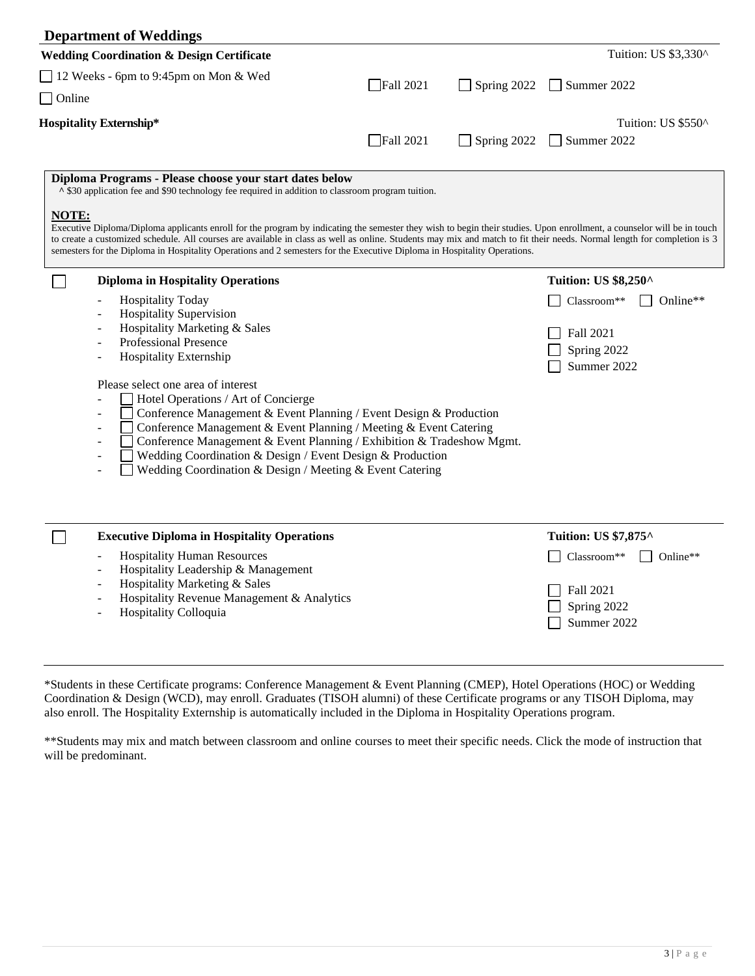| <b>Department of Weddings</b>                                                                                                                                                                                                                                                                                                                                                                                                                                                                                                                                                                                                                          |                                                                                                                                                                                                                  |             |                                                                                                   |
|--------------------------------------------------------------------------------------------------------------------------------------------------------------------------------------------------------------------------------------------------------------------------------------------------------------------------------------------------------------------------------------------------------------------------------------------------------------------------------------------------------------------------------------------------------------------------------------------------------------------------------------------------------|------------------------------------------------------------------------------------------------------------------------------------------------------------------------------------------------------------------|-------------|---------------------------------------------------------------------------------------------------|
| <b>Wedding Coordination &amp; Design Certificate</b>                                                                                                                                                                                                                                                                                                                                                                                                                                                                                                                                                                                                   |                                                                                                                                                                                                                  |             | Tuition: US \$3,330^                                                                              |
| 12 Weeks - 6pm to 9:45pm on Mon & Wed<br>$\Box$ Online                                                                                                                                                                                                                                                                                                                                                                                                                                                                                                                                                                                                 | $\Box$ Fall 2021                                                                                                                                                                                                 | Spring 2022 | $\Box$ Summer 2022                                                                                |
| <b>Hospitality Externship*</b>                                                                                                                                                                                                                                                                                                                                                                                                                                                                                                                                                                                                                         | $\Box$ Fall 2021                                                                                                                                                                                                 | Spring 2022 | Tuition: US \$550^<br>Summer 2022                                                                 |
| Diploma Programs - Please choose your start dates below<br>↑ \$30 application fee and \$90 technology fee required in addition to classroom program tuition.<br>NOTE:<br>Executive Diploma/Diploma applicants enroll for the program by indicating the semester they wish to begin their studies. Upon enrollment, a counselor will be in touch<br>to create a customized schedule. All courses are available in class as well as online. Students may mix and match to fit their needs. Normal length for completion is 3<br>semesters for the Diploma in Hospitality Operations and 2 semesters for the Executive Diploma in Hospitality Operations. |                                                                                                                                                                                                                  |             |                                                                                                   |
| <b>Diploma in Hospitality Operations</b><br><b>Hospitality Today</b><br><b>Hospitality Supervision</b><br>Hospitality Marketing & Sales<br><b>Professional Presence</b><br>Hospitality Externship<br>Please select one area of interest<br>Hotel Operations / Art of Concierge<br>Wedding Coordination & Design / Event Design & Production<br>Wedding Coordination & Design / Meeting & Event Catering                                                                                                                                                                                                                                                | Conference Management & Event Planning / Event Design & Production<br>Conference Management & Event Planning / Meeting & Event Catering<br>Conference Management & Event Planning / Exhibition & Tradeshow Mgmt. |             | <b>Tuition: US \$8,250^</b><br>Classroom**<br>Online**<br>Fall 2021<br>Spring 2022<br>Summer 2022 |
| <b>Executive Diploma in Hospitality Operations</b><br><b>Hospitality Human Resources</b><br>Hospitality Leadership & Management<br>÷,<br>Hospitality Marketing & Sales<br>Hospitality Revenue Management & Analytics<br>Hospitality Colloquia                                                                                                                                                                                                                                                                                                                                                                                                          |                                                                                                                                                                                                                  |             | Tuition: US \$7,875^<br>Classroom**<br>Online**<br>Fall 2021<br>Spring 2022<br>Summer 2022        |

\*Students in these Certificate programs: Conference Management & Event Planning (CMEP), Hotel Operations (HOC) or Wedding Coordination & Design (WCD), may enroll. Graduates (TISOH alumni) of these Certificate programs or any TISOH Diploma, may also enroll. The Hospitality Externship is automatically included in the Diploma in Hospitality Operations program.

\*\*Students may mix and match between classroom and online courses to meet their specific needs. Click the mode of instruction that will be predominant.